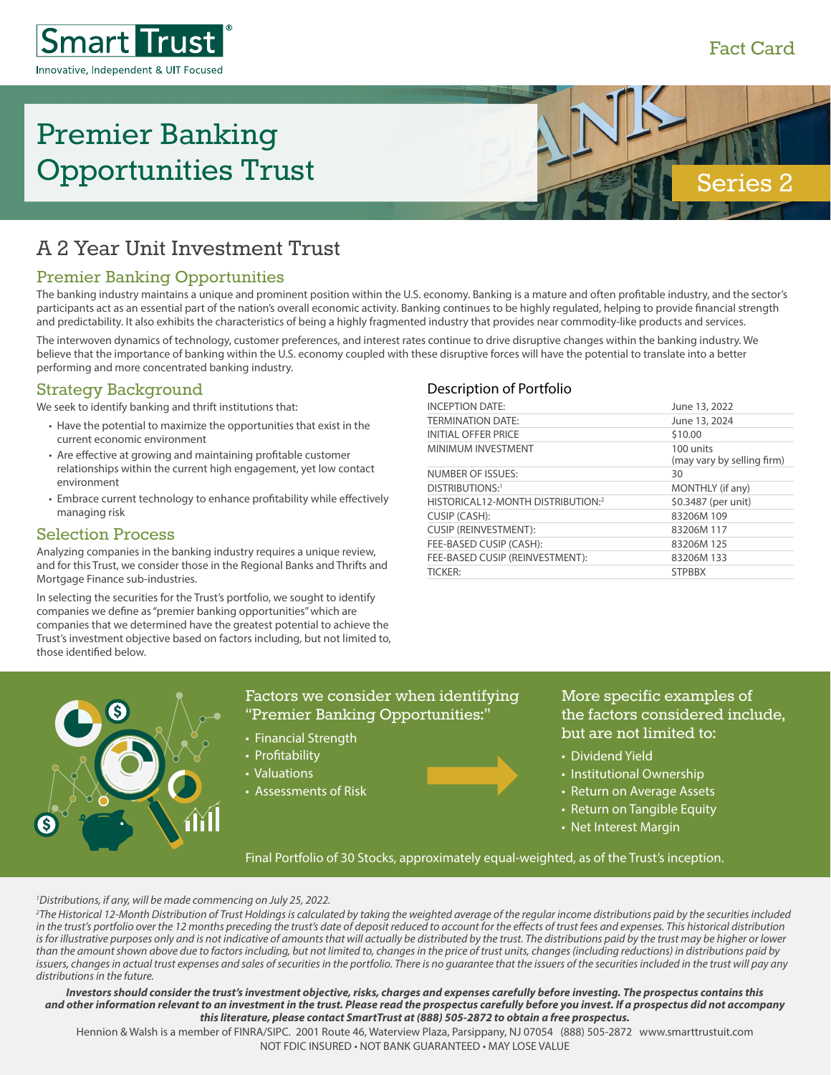#### Fact Card



# Premier Banking Opportunities Trust



## A 2 Year Unit Investment Trust

### Premier Banking Opportunities

The banking industry maintains a unique and prominent position within the U.S. economy. Banking is a mature and often profitable industry, and the sector's participants act as an essential part of the nation's overall economic activity. Banking continues to be highly regulated, helping to provide financial strength and predictability. It also exhibits the characteristics of being a highly fragmented industry that provides near commodity-like products and services.

The interwoven dynamics of technology, customer preferences, and interest rates continue to drive disruptive changes within the banking industry. We believe that the importance of banking within the U.S. economy coupled with these disruptive forces will have the potential to translate into a better performing and more concentrated banking industry.

#### Strategy Background

We seek to identify banking and thrift institutions that:

- Have the potential to maximize the opportunities that exist in the current economic environment
- Are effective at growing and maintaining profitable customer relationships within the current high engagement, yet low contact environment
- Embrace current technology to enhance profitability while effectively managing risk

#### Selection Process

Analyzing companies in the banking industry requires a unique review, and for this Trust, we consider those in the Regional Banks and Thrifts and Mortgage Finance sub-industries.

In selecting the securities for the Trust's portfolio, we sought to identify companies we define as "premier banking opportunities" which are companies that we determined have the greatest potential to achieve the Trust's investment objective based on factors including, but not limited to, those identified below.

#### Description of Portfolio

| <b>INCEPTION DATE:</b>            | June 13, 2022                           |
|-----------------------------------|-----------------------------------------|
| <b>TERMINATION DATE:</b>          | June 13, 2024                           |
| <b>INITIAL OFFER PRICE</b>        | \$10.00                                 |
| MINIMUM INVESTMENT                | 100 units<br>(may vary by selling firm) |
| NUMBER OF ISSUES:                 | 30                                      |
| DISTRIBUTIONS:1                   | MONTHLY (if any)                        |
| HISTORICAL12-MONTH DISTRIBUTION:2 | \$0.3487 (per unit)                     |
| CUSIP (CASH):                     | 83206M 109                              |
| <b>CUSIP (REINVESTMENT):</b>      | 83206M 117                              |
| FEE-BASED CUSIP (CASH):           | 83206M 125                              |
| FEE-BASED CUSIP (REINVESTMENT):   | 83206M 133                              |
| <b>TICKER:</b>                    | <b>STPBBX</b>                           |
|                                   |                                         |



#### Factors we consider when identifying "Premier Banking Opportunities:"

- Financial Strength
- Profitability
- Valuations
- Assessments of Risk

More specific examples of the factors considered include, but are not limited to:

- Dividend Yield
- Institutional Ownership
- Return on Average Assets
- Return on Tangible Equity
- Net Interest Margin

Final Portfolio of 30 Stocks, approximately equal-weighted, as of the Trust's inception.

#### *1 Distributions, if any, will be made commencing on July 25, 2022.*

*2 The Historical 12-Month Distribution of Trust Holdings is calculated by taking the weighted average of the regular income distributions paid by the securities included in the trust's portfolio over the 12 months preceding the trust's date of deposit reduced to account for the effects of trust fees and expenses. This historical distribution*  is for illustrative purposes only and is not indicative of amounts that will actually be distributed by the trust. The distributions paid by the trust may be higher or lower *than the amount shown above due to factors including, but not limited to, changes in the price of trust units, changes (including reductions) in distributions paid by*  issuers, changes in actual trust expenses and sales of securities in the portfolio. There is no guarantee that the issuers of the securities included in the trust will pay any *distributions in the future.*

#### *Investors should consider the trust's investment objective, risks, charges and expenses carefully before investing. The prospectus contains this and other information relevant to an investment in the trust. Please read the prospectus carefully before you invest. If a prospectus did not accompany this literature, please contact SmartTrust at (888) 505-2872 to obtain a free prospectus.*

Hennion & Walsh is a member of FINRA/SIPC. 2001 Route 46, Waterview Plaza, Parsippany, NJ 07054 (888) 505-2872 www.smarttrustuit.com NOT FDIC INSURED • NOT BANK GUARANTEED • MAY LOSE VALUE